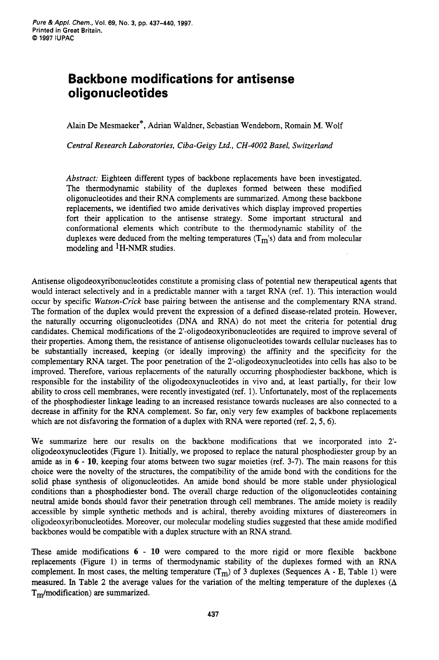## **Backbone modifications for antisense oligonucleotides**

Alain De Mesmaeker\*, Adrian Waldner, Sebastian Wendeborn, Romain M. Wolf

*Central Research Laboratories, Ciba-Geigy Ltd., CH-4002 Basel, Switzerland* 

Abstract: Eighteen different types of backbone replacements have been investigated. The thermodynamic stability of the duplexes formed between these modified oligonucleotides and their RNA complements are summarized. Among these backbone replacements, we identified two amide derivatives which display improved properties fort their application to the antisense strategy. Some important structural and conformational elements which contribute to the thermodynamic stability of the duplexes were deduced from the melting temperatures  $(T_m's)$  data and from molecular modeling and 1H-NMR studies.

Antisense **oligodeoxyribonucleotides** constitute a promising class of potential new therapeutical agents that would interact selectively and in a predictable manner with a target RNA (ref. 1). This interaction would occur by specific *Watson-Crick* base pairing between the antisense and the complementary RNA strand. The formation of the duplex would prevent the expression of a defined disease-related protein. However, the naturally occurring oligonucleotides (DNA and RNA) do not meet the criteria for potential drug candidates. Chemical modifications of the **2'-oligodeoxyribonucleotides** are required to improve several of their properties. Among them, the resistance of antisense oligonucleotides towards cellular nucleases has to be substantially increased, keeping (or ideally improving) the affinity and the specificity for the complementary RNA target. The poor penetration of the **2'-oligodeoxynucleotides** into cells has also to be improved. Therefore, various replacements of the naturally occurring phosphodiester backbone, which is responsible for the instability of the oligodeoxynucleotides in vivo and, at least partially, for their low ability to cross cell membranes, were recently investigated (ref. 1). Unfortunately, most of the replacements of the phosphodiester linkage leading to an increased resistance towards nucleases are also connected to a decrease in affinity for the RNA complement. So far, only very few examples of backbone replacements which are not disfavoring the formation of a duplex with RNA were reported (ref. **2,** *5, 6).* 

We summarize here our results on the backbone modifications that we incorporated into **2'**  oligodeoxynucleotides (Figure 1). Initially, we proposed to replace the natural phosphodiester group by an amide as in 6 - 10, keeping four atoms between two sugar moieties (ref. 3-7). The main reasons for this choice were the novelty of the structures, the compatibility of the amide bond with the conditions for the solid phase synthesis of oligonucleotides. *An* amide bond should be more stable under physiological conditions than a phosphodiester bond. The overall charge reduction of the oligonucleotides containing neutral amide bonds should favor their penetration through cell membranes. The amide moiety is readily accessible by simple synthetic methods and is achiral, thereby avoiding mixtures of diastereomers in **oligodeoxyribonucleotides.** Moreover, our molecular modeling studies suggested that these amide modified backbones would be compatible with a duplex structure with an RNA strand.

These amide modifications *6* - **10** were compared to the more rigid or more flexible backbone replacements (Figure 1) in terms of thermodynamic stability of the duplexes formed with an RNA complement. In most cases, the melting temperature  $(T_m)$  of 3 duplexes (Sequences A - E, Table 1) were measured. In Table 2 the average values for the variation of the melting temperature of the duplexes  $(\Delta)$  $T<sub>m</sub>/modification)$  are summarized.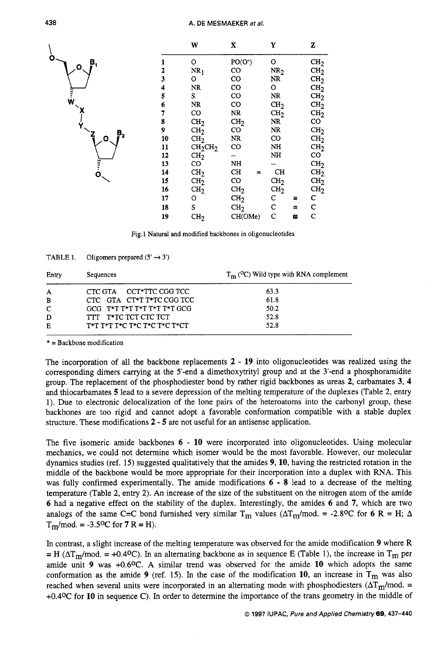

Fig. 1 Natural and modified backbones in oligonucleotides

| Entry | Sequences                       | $T_{\rm m}$ ( <sup>O</sup> C) Wild type with RNA complement |  |
|-------|---------------------------------|-------------------------------------------------------------|--|
| A     | CTC GTA CCT*TTC CGG TCC         | 63.3                                                        |  |
| B     | CTC GTA CT*T T*TC CGG TCC       | 61.8                                                        |  |
| C     | GCG T*T T*T T*T T*T T*T GCG     | 50.2                                                        |  |
| D     | TTT T*TC TCT CTC TCT            | 52.8                                                        |  |
| Е     | $T^*T$ T*T T*C T*C T*C T*C T*CT | 52.8                                                        |  |

TABLE 1. Oligomers prepared  $(5' \rightarrow 3')$ 

\* = Backbone modification

The incorporation of all the backbone replacements **2** - **19** into oligonucleotides was realized using the corresponding dimers carrying at the 5'-end a dimethoxytrityl group and at the 3'-end a phosphoramidite group. The replacement of the phosphodiester bond by rather rigid backbones as ureas *2,* carbamates **3, 4**  and thiocarbamates *5* lead to a severe depression of the melting temperature of the duplexes (Table *2,* entry 1). Due to electronic delocalization of the lone pairs of the heteroatoms into the carbonyl group, these backbones are too rigid and cannot adopt a favorable conformation compatible with a stable duplex structure. These modifications *2* - *5* are not useful for an antisense application.

The five isomeric amide backbones **6** - **10** were incorporated into oligonucleotides. Using molecular mechanics, we could not determine which isomer would be the most favorable. However, our molecular dynamics studies (ref. 15) suggested qualitatively that the amides **9, 10,** having the restricted rotation in the middle of the backbone would be more appropriate for their incorporation into a duplex with RNA. This was fully confirmed experimentally. The amide modifications **6** - **8** lead to a decrease of the melting temperature (Table *2,* entry *2).* An increase of the size of the substituent on the nitrogen atom of the amide **6** had a negative effect on the stability of the duplex. Interestingly, the amides **6** and **7,** which are two analogs of the same C=C bond furnished very similar T<sub>m</sub> values ( $\Delta T_m$ /mod. = -2.8<sup>o</sup>C for 6 R = H;  $\Delta$  $T_m$ /mod. = -3.5<sup>o</sup>C for **7** R = H).

In contrast, a slight increase of the melting temperature was observed for the amide modification **9** where R  $=$  H ( $\Delta T_m$ /mod. = +0.4°C). In an alternating backbone as in sequence E (Table 1), the increase in T<sub>m</sub> per amide unit **9** was +0.6OC. A similar trend was observed for the amide **10** which adopts the same conformation as the amide **9** (ref. 15). In the case of the modification **10**, an increase in  $T_m$  was also reached when several units were incorporated in an alternating mode with phosphodiesters ( $\Delta T_{\text{m}}$ /mod. = **+0.4OC** for **10** in sequence **C).** In order to determine the importance of the trans geometry in the middle of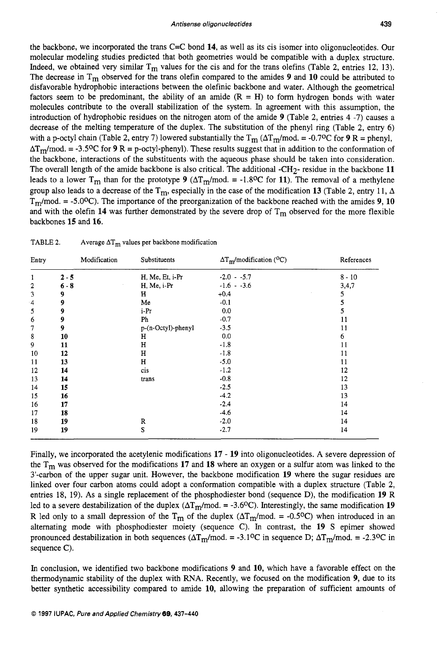the backbone, we incorporated the trans C=C bond **14,** as well as its cis isomer into oligonucleotides. Our molecular modeling studies predicted that both geometries would be compatible with a duplex structure, Indeed, we obtained very similar  $T_m$  values for the cis and for the trans olefins (Table 2, entries 12, 13). The decrease in Tm observed for the trans olefin compared to the amides **9** and **10** could be attributed to disfavorable hydrophobic interactions between the olefinic backbone and water. Although the geometrical factors seem to be predominant, the ability of an amide  $(R = H)$  to form hydrogen bonds with water molecules contribute to the overall stabilization of the system. In agreement with this assumption, the introduction of hydrophobic residues on the nitrogen atom of the amide **9** (Table **2,** entries 4 -7) causes a decrease of the melting temperature of the duplex. The substitution of the phenyl ring (Table *2,* entry 6) with a p-octyl chain (Table 2, entry 7) lowered substantially the  $T_m(\Delta T_m/mod. = -0.7^{\circ}\text{C}$  for **9** R = phenyl,  $\Delta T_m$ /mod. = -3.5<sup>o</sup>C for **9** R = p-octyl-phenyl). These results suggest that in addition to the conformation of the backbone, interactions of the substituents with the aqueous phase should be taken into consideration. The overall length of the amide backbone is also critical. The additional -CH2- residue in the backbone **11**  leads to a lower T<sub>m</sub> than for the prototype 9 ( $\Delta T_m$ /mod. = -1.8<sup>o</sup>C for 11). The removal of a methylene group also leads to a decrease of the  $T_m$ , especially in the case of the modification 13 (Table 2, entry 11,  $\Delta$  $T_m$ /mod. = -5.0<sup>o</sup>C). The importance of the preorganization of the backbone reached with the amides **9**, 10 and with the olefin  $14$  was further demonstrated by the severe drop of  $T_m$  observed for the more flexible backbones **15** and **16.** 

| Entry          | Modification | Substituents       | $\Delta T_m$ /modification (°C) | References |
|----------------|--------------|--------------------|---------------------------------|------------|
| 1              | $2 - 5$      | H, Me, Et, i-Pr    | $-2.0 - 5.7$                    | $8 - 10$   |
| $\overline{2}$ | $6 - 8$      | H, Me, i-Pr        | $-1.6 - -3.6$                   | 3,4,7      |
| 3              | 9            | н                  | $+0.4$                          | 5          |
| $\cdot$ 4      | 9            | Me                 | $-0.1$                          | 5          |
| 5              | 9            | i-Pr               | 0.0                             | 5          |
| 6              | 9            | Ph                 | $-0.7$                          | 11         |
| 7              | 9            | p-(n-Octyl)-phenyl | $-3.5$                          | 11         |
| 8              | 10           | н                  | 0.0                             | 6          |
| 9              | 11           | $\mathbf H$        | $-1.8$                          | 11         |
| 10             | 12           | н                  | $-1.8$                          | 11         |
| 11             | 13           | н                  | $-5.0$                          | 11         |
| 12             | 14           | cis                | $-1.2$                          | 12         |
| 13             | 14           | trans              | $-0.8$                          | 12         |
| 14             | 15           |                    | $-2.5$                          | 13         |
| 15             | 16           |                    | $-4.2$                          | 13         |
| 16             | 17           |                    | $-2.4$                          | 14         |
| 17             | 18           |                    | $-4.6$                          | 14         |
| 18             | 19           | R                  | $-2.0$                          | 14         |
| 19             | 19           | S                  | $-2.7$                          | 14         |

Finally, we incorporated the acetylenic modifications **17** - **19** into oligonucleotides. A severe depression of the Tm was observed for the modifications **17** and **18** where an oxygen or a sulfur atom was linked to the 3'-carbon of the upper sugar unit. However, the backbone modification **19** where the sugar residues are linked over four carbon atoms could adopt a conformation compatible with a duplex structure (Table *2,*  entries 18, 19). As a single replacement of the phosphodiester bond (sequence D), the modification **19** R led to a severe destabilization of the duplex  $(\Delta T_m$ /mod. = -3.6<sup>o</sup>C). Interestingly, the same modification 19 R led only to a small depression of the T<sub>m</sub> of the duplex ( $\Delta T_m$ /mod. = -0.5<sup>o</sup>C) when introduced in an alternating mode with phosphodiester moiety (sequence C). In contrast, the **19** S epimer showed pronounced destabilization in both sequences ( $\Delta T_{\text{m}}$ /mod. = -3.1°C in sequence D;  $\Delta T_{\text{m}}$ /mod. = -2.3°C in sequence C).

In conclusion, we identified two backbone modifications **9** and **10,** which have a favorable effect on the thermodynamic stability of the duplex with RNA. Recently, we focused on the modification **9,** due to its better synthetic accessibility compared to amide **10,** allowing the preparation of sufficient amounts of